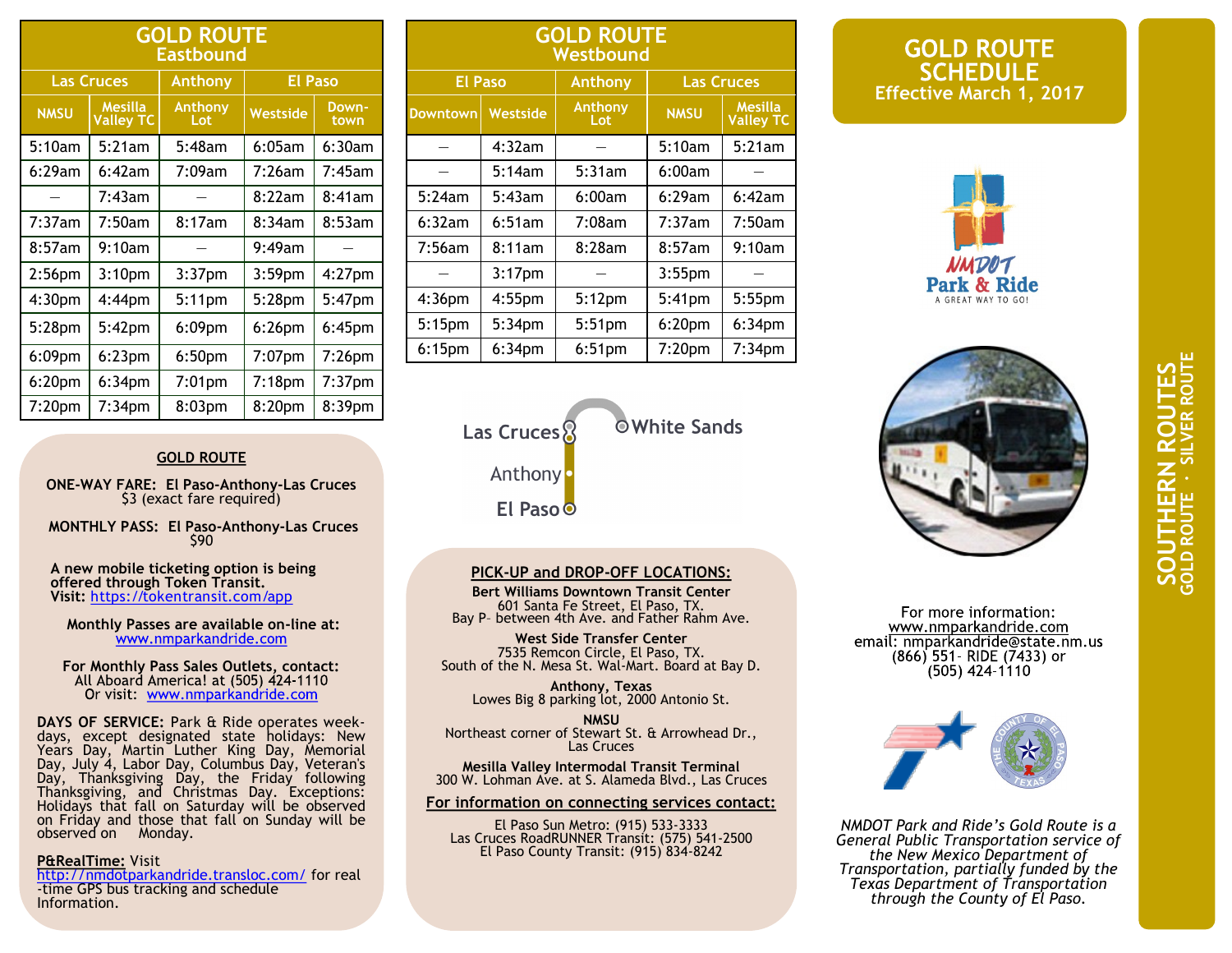| <b>GOLD ROUTE</b><br><b>Eastbound</b> |                                    |                       |                    |               |  |  |  |  |
|---------------------------------------|------------------------------------|-----------------------|--------------------|---------------|--|--|--|--|
| <b>Las Cruces</b>                     |                                    | <b>Anthony</b>        | <b>El Paso</b>     |               |  |  |  |  |
| <b>NMSU</b>                           | <b>Mesilla</b><br><b>Valley TC</b> | <b>Anthony</b><br>Lot | <b>Westside</b>    | Down-<br>town |  |  |  |  |
| 5:10am                                | 5:21am                             | 5:48am                | 6:05am             | 6:30am        |  |  |  |  |
| 6:29am                                | 6:42am                             | 7:09am                | 7:26am             | 7:45am        |  |  |  |  |
|                                       | 7:43am                             |                       | 8:22am             | 8:41am        |  |  |  |  |
| 7:37am                                | 7:50am                             | 8:17am                | 8:34am             | 8:53am        |  |  |  |  |
| 8:57am                                | 9:10am                             |                       | 9:49am             |               |  |  |  |  |
| 2:56 <sub>pm</sub>                    | 3:10 <sub>pm</sub>                 | 3:37 <sub>pm</sub>    | 3:59 <sub>pm</sub> | 4:27pm        |  |  |  |  |
| 4:30pm                                | $4:44$ pm                          | 5:11pm                | 5:28pm             | 5:47pm        |  |  |  |  |
| 5:28pm                                | $5:42$ pm                          | 6:09pm                | $6:26$ pm          | $6:45$ pm     |  |  |  |  |
| 6:09pm                                | $6:23$ pm                          | 6:50 <sub>pm</sub>    | 7:07pm             | 7:26pm        |  |  |  |  |
| 6:20 <sub>pm</sub>                    | 6:34 <sub>pm</sub>                 | 7:01pm                | 7:18pm             | 7:37pm        |  |  |  |  |
| 7:20pm                                | $7:34$ pm                          | 8:03pm                | 8:20pm             | 8:39pm        |  |  |  |  |

| <b>GOLD ROUTE</b><br>Westbound |                    |                       |                    |                                    |  |  |  |  |
|--------------------------------|--------------------|-----------------------|--------------------|------------------------------------|--|--|--|--|
| <b>El Paso</b>                 |                    | <b>Anthony</b>        | <b>Las Cruces</b>  |                                    |  |  |  |  |
| <b>Downtown</b>                | Westside           | <b>Anthony</b><br>Lot | <b>NMSU</b>        | <b>Mesilla</b><br><b>Valley TC</b> |  |  |  |  |
|                                | 4:32am             |                       | 5:10am             | 5:21am                             |  |  |  |  |
|                                | 5:14am             | 5:31am                | 6:00am             |                                    |  |  |  |  |
| 5:24am                         | 5:43am             | 6:00am                | 6:29am             | 6:42am                             |  |  |  |  |
| 6:32am                         | 6:51am             | 7:08am                | 7:37am             | 7:50am                             |  |  |  |  |
| 7:56am                         | 8:11am             | 8:28am                | 8:57am             | 9:10am                             |  |  |  |  |
|                                | $3:17$ pm          |                       | 3:55 <sub>pm</sub> |                                    |  |  |  |  |
| $4:36$ pm                      | $4:55$ pm          | 5:12 <sub>pm</sub>    | 5:41pm             | $5:55$ pm                          |  |  |  |  |
| 5:15 <sub>pm</sub>             | 5:34 <sub>pm</sub> | 5:51 <sub>pm</sub>    | 6:20 <sub>pm</sub> | 6:34 <sub>pm</sub>                 |  |  |  |  |
| 6:15 <sub>pm</sub>             | 6:34 <sub>pm</sub> | 6:51 <sub>pm</sub>    | 7:20pm             | 7:34 <sub>pm</sub>                 |  |  |  |  |

# **GOLD ROUTE**

**ONE-WAY FARE: El Paso-Anthony-Las Cruces**  \$3 (exact fare required)

**MONTHLY PASS: El Paso-Anthony-Las Cruces** \$90

**A new mobile ticketing option is being offered through Token Transit. Visit:** [https://tokentransit.com/app](https://protect-us.mimecast.com/s/IwleCrkvDQu102Lgf4dvAv?domain=tokentransit.com)

**Monthly Passes are available on-line at:** 

**For Monthly Pass Sales Outlets, contact:** Or visit: www.nmparkandride.com

**DAYS OF SERVICE:** Park & Ride operates weekdays, except designated state holidays: New Years Day, Martin Luther King Day, Memorial Day, July 4, Labor Day, Columbus Day, Veteran's Day, Thanksgiving Day, the Friday following Thanksgiving, and Christmas Day. Exceptions: Holidays that fall on Saturday will be observed on Friday and those that fall on Sunday will be observed on Monday.

#### **P&RealTime:** Visit

<http://nmdotparkandride.transloc.com/> for real -time GPS bus tracking and schedule Information.

### **PICK-UP and DROP-OFF LOCATIONS:**

Las Cruces

Anthony

El Paso<sup>o</sup>

**O**White Sands

**Bert Williams Downtown Transit Center**  601 Santa Fe Street, El Paso, TX. Bay P– between 4th Ave. and Father Rahm Ave.

**West Side Transfer Center** 7535 Remcon Circle, El Paso, TX. South of the N. Mesa St. Wal-Mart. Board at Bay D.

> **Anthony, Texas** Lowes Big 8 parking lot, 2000 Antonio St.

**NMSU**  Northeast corner of Stewart St. & Arrowhead Dr., Las Cruces

**Mesilla Valley Intermodal Transit Terminal** 300 W. Lohman Ave. at S. Alameda Blvd., Las Cruces

**For information on connecting services contact:**

El Paso Sun Metro: (915) 533-3333 Las Cruces RoadRUNNER Transit: (575) 541-2500 El Paso County Transit: (915) 834-8242

# **GOLD ROUTE SCHEDULE Effective March 1, 2017**





For more information: www.nmparkandride.com email: nmparkandride@state.nm.us (866) 551 RIDE (7433) or  $(505)$  424-1110



*NMDOT Park and Ride's Gold Route is a General Public Transportation service of the New Mexico Department of Transportation, partially funded by the Texas Department of Transportation through the County of El Paso.*